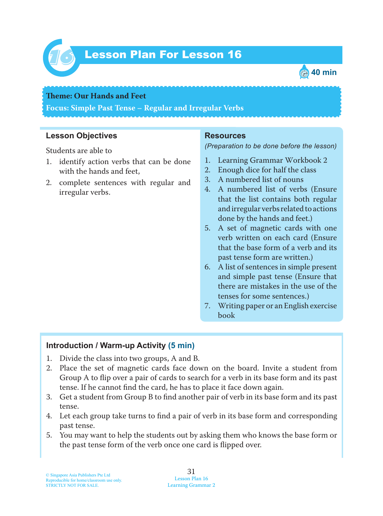

# Lesson Plan For Lesson 16 *16*



#### **Teme : Our Hands and Feet**

**Focus: Simple Past Tense – Regular and Irregular Verbs**

### **Lesson Objectives**

Students are able to

- 1. identify action verbs that can be done with the hands and feet,
- 2. complete sentences with regular and irregular verbs.

#### **Resources**

*(Preparation to be done before the lesson)*

- 1. Learning Grammar Workbook 2
- 2. Enough dice for half the class
- 3. A numbered list of nouns
- 4. A numbered list of verbs (Ensure that the list contains both regular and irregular verbs related to actions done by the hands and feet.)
- 5. A set of magnetic cards with one verb written on each card (Ensure that the base form of a verb and its past tense form are written.)
- 6. A list of sentences in simple present and simple past tense (Ensure that there are mistakes in the use of the tenses for some sentences.)
- 7. Writing paper or an English exercise book

### **Introduction / Warm-up Activity (5 min)**

- 1. Divide the class into two groups, A and B.
- 2. Place the set of magnetic cards face down on the board. Invite a student from Group A to flip over a pair of cards to search for a verb in its base form and its past tense. If he cannot find the card, he has to place it face down again.
- 3. Get a student from Group B to find another pair of verb in its base form and its past tense.
- 4. Let each group take turns to find a pair of verb in its base form and corresponding past tense.
- 5. You may want to help the students out by asking them who knows the base form or the past tense form of the verb once one card is flipped over.